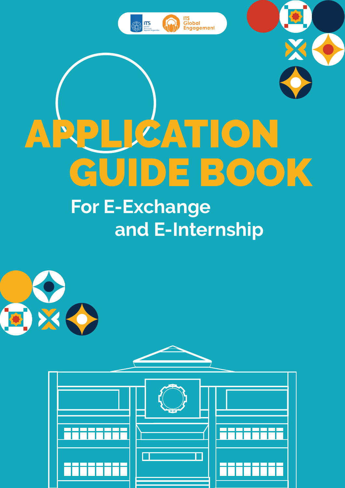

# APPLICATION GUIDE BOOK

# **For E-Exchange and E-Internship**





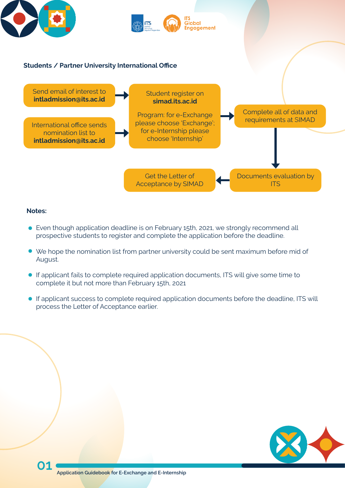



- Even though application deadline is on February 15th, 2021, we strongly recommend all prospective students to register and complete the application before the deadline.
- We hope the nomination list from partner university could be sent maximum before mid of August.
- If applicant fails to complete required application documents, ITS will give some time to complete it but not more than February 15th, 2021
- If applicant success to complete required application documents before the deadline, ITS will process the Letter of Acceptance earlier.

#### **Notes:**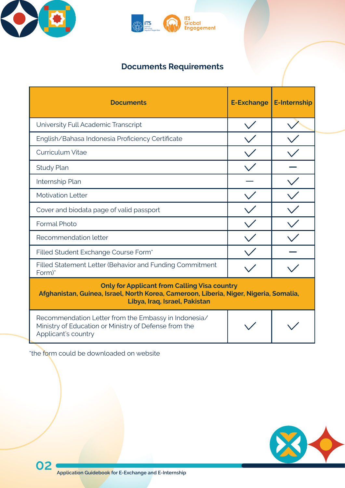

| <b>Documents</b>                                                                                                                                                              | <b>E-Exchange</b> | <b>E-Internship</b> |
|-------------------------------------------------------------------------------------------------------------------------------------------------------------------------------|-------------------|---------------------|
| University Full Academic Transcript                                                                                                                                           |                   |                     |
| English/Bahasa Indonesia Proficiency Certificate                                                                                                                              |                   |                     |
| <b>Curriculum Vitae</b>                                                                                                                                                       |                   |                     |
| <b>Study Plan</b>                                                                                                                                                             |                   |                     |
| Internship Plan                                                                                                                                                               |                   |                     |
| <b>Motivation Letter</b>                                                                                                                                                      |                   |                     |
| Cover and biodata page of valid passport                                                                                                                                      |                   |                     |
| <b>Formal Photo</b>                                                                                                                                                           |                   |                     |
| Recommendation letter                                                                                                                                                         |                   |                     |
| Filled Student Exchange Course Form*                                                                                                                                          |                   |                     |
| Filled Statement Letter (Behavior and Funding Commitment<br>Form)*                                                                                                            |                   |                     |
| <b>Only for Applicant from Calling Visa country</b><br>Afghanistan, Guinea, Israel, North Korea, Cameroon, Liberia, Niger, Nigeria, Somalia,<br>Libya, Iraq, Israel, Pakistan |                   |                     |
| Recommendation Letter from the Embassy in Indonesia/<br>Ministry of Education or Ministry of Defense from the<br>Applicant's country                                          |                   |                     |

\*the form could be downloaded on website





# **Documents Requirements**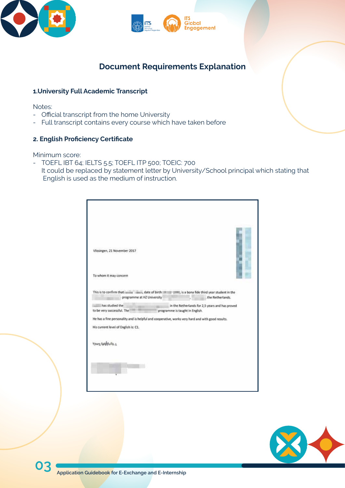





## **Document Requirements Explanation**

#### **1.University Full Academic Transcript**

Notes:

- Official transcript from the home University
- Full transcript contains every course which have taken before

#### **2. English Proficiency Certificate**

Minimum score:

- TOEFL IBT 64; IELTS 5.5; TOEFL ITP 500; TOEIC: 700 It could be replaced by statement letter by University/School principal which stating that English is used as the medium of instruction.

| Vlissingen, 21 November 2017<br>To whom it may concern<br>to be very successful. The<br>His current level of English is: C1. | programme at HZ University | This is to confirm that mining mining date of birth in the same, is a bona fide third year student in the<br>the Netherlands.<br>in the Netherlands for 2,5 years and has proved<br>programme is taught in English.<br>He has a fine personality and is helpful and cooperative, works very hard and with good results. |
|------------------------------------------------------------------------------------------------------------------------------|----------------------------|-------------------------------------------------------------------------------------------------------------------------------------------------------------------------------------------------------------------------------------------------------------------------------------------------------------------------|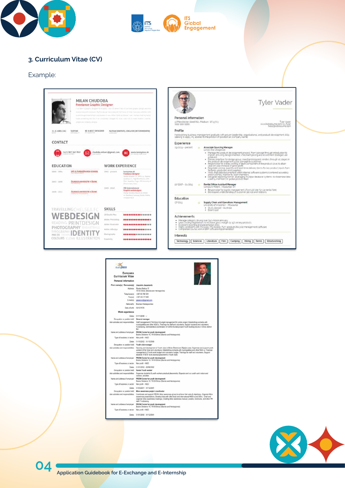**04 Application Guidebook for E-Exchange and E-Internship** 





#### **3. Curriculum Vitae (CV)**

#### Example:

|                            | <b>MILAN CHUDOBA</b><br>Freelance Graphic Designer                                              |                                                                         | The been a graphic designer by 6 years 1 was 20 when I had as link with graphic design and this<br>HELEVISTED MILL LOCENSING, FRY TOX WAS NOT A RACINED TO THING OF HIRS. LAW ANTISTICT WITH<br>is and this gril him follows and made in lowe follow faint at it follows 1.1 and Andrew Builting hards. | Personal information                       |        | <b>Tyler Vader</b>                                                                                                                                                                                                                                                                                                                                                                                                                                                            |
|----------------------------|-------------------------------------------------------------------------------------------------|-------------------------------------------------------------------------|---------------------------------------------------------------------------------------------------------------------------------------------------------------------------------------------------------------------------------------------------------------------------------------------------------|--------------------------------------------|--------|-------------------------------------------------------------------------------------------------------------------------------------------------------------------------------------------------------------------------------------------------------------------------------------------------------------------------------------------------------------------------------------------------------------------------------------------------------------------------------|
|                            | arrigat and limpless designs.                                                                   |                                                                         | made according the mix Fire turnslately changed bid atop, som I by to state modern, treation,                                                                                                                                                                                                           | 10 Manchester street N21 Madison. WI 63701 |        | <b>Tyler Vader</b>                                                                                                                                                                                                                                                                                                                                                                                                                                                            |
|                            |                                                                                                 |                                                                         |                                                                                                                                                                                                                                                                                                         | 19991999-9999                              |        | www.kickresume.com/cv/tyler<br>helio@kickresume.com                                                                                                                                                                                                                                                                                                                                                                                                                           |
| 11.3.1985 (26)             | BE A BEST DESIGNER<br><b>SLOVAK</b><br><b>HATAFINATIF</b>                                       |                                                                         | SLOVAK (NATIVE), ENGLISH (INTERMEDIATE).                                                                                                                                                                                                                                                                | Profile                                    |        |                                                                                                                                                                                                                                                                                                                                                                                                                                                                               |
|                            |                                                                                                 |                                                                         |                                                                                                                                                                                                                                                                                                         |                                            |        | Hardworking business-management graduate with proven leadership, organisational, and product-development skills<br>seeking to apply my abilities to the position of (position) at (company name)                                                                                                                                                                                                                                                                              |
| CONTACT                    |                                                                                                 |                                                                         |                                                                                                                                                                                                                                                                                                         | Experience                                 |        |                                                                                                                                                                                                                                                                                                                                                                                                                                                                               |
| <b>EDUCATION</b>           | +421 907 347 852                                                                                | chudoba.milan1@gmail.com<br><b>WORK EXPERIENCE</b>                      | www.lunnymax.sk                                                                                                                                                                                                                                                                                         | 09/2013 - present                          |        | Associate Sourcing Manager<br>Lands' End. Dodgeville<br>- Manage the product-development process, from concept through introduction to<br>market, ensuring design intention, merchant pricing and assortment strategies are<br>achieved<br>. Primary interface for design group, merchandising and vendors through all stages in<br>the product-development cycle (concept to customer)<br>- Responsible for overall costing of each component of the product so as to attain |
| 3000 - 3004<br>3005 - 2008 | SPŠ IG TVRDOŠÍN HIGH SCHOOL<br><b>INSTANCIOUS</b><br><b><i>EILINSKA UNIVERSITA V ZILINE</i></b> | $1005 -$ pretent.                                                       | kennymax.sk<br><b>Freelance designer</b><br>Engine Bringen LLs. 199 LYA. However,<br>lyvelory v.c., Popy Busedianies, GMPs.<br>Plan, Squirre, Origin 191 University of                                                                                                                                  |                                            |        | year-on-year increase in gross profit<br>· Negotiate pricing, quantity and lead-time delivery terms for key product inputs from<br>factories: producers and suppliers<br>. Verify that data documented within internal software systems is entered accurately<br>and in a timely manner by team members<br>- Designed reporting format, leveraging multiple database systems, to streamline data<br>used by members of global product team                                    |
| $2008 - 2015$              | <b>MECREWATICS</b><br><b>ZILMSNA UNIVERZITA V ŽILINE</b><br>CORPUTER INCARETYPICS               | 3008-2018                                                               | Sting & many trans.<br><b>MB Entertainment</b><br>Graphic webdestener<br>Durgs Sloutes, Disorte 12, Denis<br>oli Ohiottok je, Sammang Hisboka, Harkins,                                                                                                                                                 | 10/2007 - 01/2013                          | $\sim$ | Rental Office Assistant Manager<br>Concours Motors . Milwauhee. Wi<br>- Responsible for logistic management of a multi-site 7s- car rental fleet<br>- Developed understanding of customer service and relations                                                                                                                                                                                                                                                               |
|                            |                                                                                                 |                                                                         | ALCOHOL: N                                                                                                                                                                                                                                                                                              | Education                                  |        |                                                                                                                                                                                                                                                                                                                                                                                                                                                                               |
|                            | TRAVELLING CHELSEA FC                                                                           | <b>SKILLS</b>                                                           |                                                                                                                                                                                                                                                                                                         | 07/2013                                    |        | Supply Chain and Operations Management<br>University of Wisconsin - Milwauhee<br>· Study abroad - Australia<br>· Dean's List                                                                                                                                                                                                                                                                                                                                                  |
|                            | WEBDESIG<br>READING PRINTDESIGN<br>PHOTOGRAPHY BASKETBALL                                       | 1D Studio Max<br>Adobs Photoshop<br>Adobe illustrates<br>Adobe InDusten | 000000000000000<br>***************<br>****************<br>000000000000000                                                                                                                                                                                                                               | Achievements<br>٠                          |        | · Manage category driving over \$40 million annually<br>Lead costing negotiations to increase gross margin by 15% on key products<br>Excellent reporting and presentation skills<br>Highly proficient with MS Excel, MS Access. PLM (product lifecycle management) software<br>Completed course work in ERP software implementation                                                                                                                                           |



| Occupation or position held.          | Senior Youth worker                                                                                                                                                                                                                                                                                                                      |
|---------------------------------------|------------------------------------------------------------------------------------------------------------------------------------------------------------------------------------------------------------------------------------------------------------------------------------------------------------------------------------------|
| Asin activities and responsibilities. | Supervise students & youth workers practical placements. Organize and run youth work indoor and<br>outdoor, activities.                                                                                                                                                                                                                  |
| Name and address of employer.         | PRONI Center for youth development<br>Bosne Srebrene 16, 76100 Brdko (Bosnia and Herzegovina)                                                                                                                                                                                                                                            |
| Type of business or sector            | Non profit - NGO                                                                                                                                                                                                                                                                                                                         |
| <b>Dates</b>                          | 01/03/2001 - 31/12/2001                                                                                                                                                                                                                                                                                                                  |
| Occupation or position held           | Mine awareness project coordinator                                                                                                                                                                                                                                                                                                       |
| activities and responsibilities.      | Coordinate and support PRONi Mine awareness group to achieve their aims & objectives. Organize Mine<br>awareness presentations, Develop links with other local and international NGO-s and GO-s ; Chair and<br>organize Mine awareness meetings. Creating Mine awareness manual; posters, brochures, and other PR.<br>staff, Fundraising |
| Name and address of employer          | PRONI Center for youth development<br>Bosne Srebrene 16, 76100 Broko (Bosnie and Herzegovina)                                                                                                                                                                                                                                            |
| Type of business or sector            | Non profit - NGO                                                                                                                                                                                                                                                                                                                         |
|                                       | 01/01/2000 - 31/12/2001                                                                                                                                                                                                                                                                                                                  |
|                                       |                                                                                                                                                                                                                                                                                                                                          |

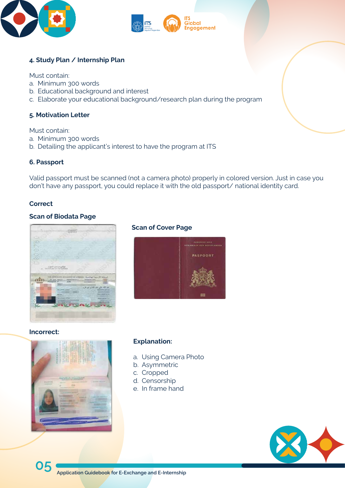**05 Application Guidebook for E-Exchange and E-Internship** 





#### **4. Study Plan / Internship Plan**

Must contain:

- a. Minimum 300 words
- b. Educational background and interest
- c. Elaborate your educational background/research plan during the program

#### **5. Motivation Letter**

Must contain:

- a. Minimum 300 words
- b. Detailing the applicant's interest to have the program at ITS

#### **6. Passport**

Valid passport must be scanned (not a camera photo) properly in colored version. Just in case you don't have any passport, you could replace it with the old passport/ national identity card.

#### **Scan of Biodata Page**



#### **Incorrect:**



#### **Correct**

#### **Scan of Cover Page**



#### **Explanation:**

- a. Using Camera Photo
- b. Asymmetric
- c. Cropped d. Censorship e. In frame hand

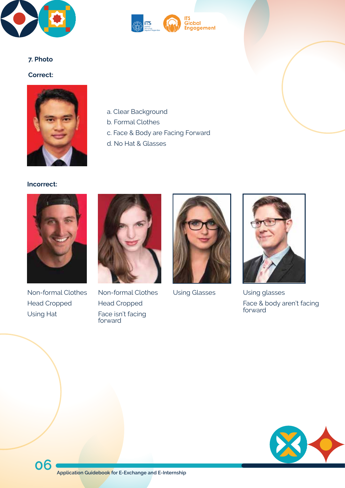

#### **Incorrect:**





#### **7. Photo**

#### **Correct:**





Non-formal Clothes Head Cropped Using Hat



Non-formal Clothes Head Cropped Face isn't facing forward



Using Glasses Using glasses



Face & body aren't facing forward

- a. Clear Background
- b. Formal Clothes
- c. Face & Body are Facing Forward
- d. No Hat & Glasses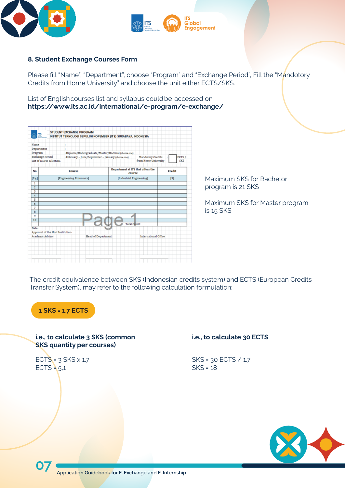





#### **8. Student Exchange Courses Form**

Please fill "Name", "Department", choose "Program" and "Exchange Period", Fill the "Mandotory Credits from Home University" and choose the unit either ECTS/SKS.

List of English courses list and syllabus could be accessed on **https://www.its.ac.id/international/e-program/e-exchange/**

| m                |                                                                              | STUDENT EXCHANGE PROGRAM |                                                               |                          |                                             |        |     |
|------------------|------------------------------------------------------------------------------|--------------------------|---------------------------------------------------------------|--------------------------|---------------------------------------------|--------|-----|
|                  |                                                                              |                          | INSTITUT TEKNOLOGI SEPULUH NOPEMBER (ITS) SURABAYA, INDONESIA |                          |                                             |        |     |
| Name             |                                                                              | t                        |                                                               |                          |                                             |        |     |
| Department       |                                                                              | ×                        |                                                               |                          |                                             |        |     |
| Program          |                                                                              |                          | : Diploma/Undergraduate/Master/Doctoral (choose one)          |                          |                                             |        |     |
|                  | <b>Exchange Period</b><br>: February - June/September - January (choose one) |                          |                                                               |                          | ECTS /<br>Mandatory Credits<br>÷            |        |     |
|                  | List of course selection:                                                    |                          |                                                               |                          | from Home University                        |        | SKS |
| No               |                                                                              | Course                   |                                                               |                          | Department at ITS that offers the<br>course | Credit |     |
| [Eg]             | [Engineering Economics]                                                      |                          |                                                               | [Industrial Engineering] | $[3]$                                       |        |     |
| 1                |                                                                              |                          |                                                               |                          |                                             |        |     |
| 2                |                                                                              |                          |                                                               |                          |                                             |        |     |
| 3                |                                                                              |                          |                                                               |                          |                                             |        |     |
| 4                |                                                                              |                          |                                                               |                          |                                             |        |     |
| 5                |                                                                              |                          |                                                               |                          |                                             |        |     |
| 6                |                                                                              |                          |                                                               |                          |                                             |        |     |
| 7                |                                                                              |                          |                                                               |                          |                                             |        |     |
| 8                |                                                                              |                          |                                                               |                          |                                             |        |     |
| ۰                |                                                                              |                          |                                                               |                          |                                             |        |     |
| 10               |                                                                              |                          |                                                               |                          |                                             |        |     |
| Date:            |                                                                              |                          |                                                               |                          | <b>Total Credit</b>                         |        |     |
|                  | Approval of the Host Institution:                                            |                          |                                                               |                          |                                             |        |     |
| Academic Advisor |                                                                              |                          | <b>Head of Department</b>                                     |                          | International Office                        |        |     |
|                  |                                                                              |                          |                                                               |                          |                                             |        |     |
|                  |                                                                              |                          |                                                               |                          |                                             |        |     |
|                  |                                                                              |                          |                                                               |                          |                                             |        |     |
|                  |                                                                              |                          |                                                               |                          |                                             |        |     |
|                  |                                                                              |                          |                                                               |                          |                                             |        |     |

Maximum SKS for Bachelor program is 21 SKS

Maximum SKS for Master program is 15 SKS

The credit equivalence between SKS (Indonesian credits system) and ECTS (European Credits Transfer System), may refer to the following calculation formulation:

#### **i.e., to calculate 3 SKS (common SKS quantity per courses)**

ECTS =  $3$  SKS  $\times$  1.7  $ECTS = 5.1$ 

### **1 SKS = 1.7 ECTS**

#### **i.e., to calculate 30 ECTS**

SKS = 30 ECTS / 1.7 SKS = 18